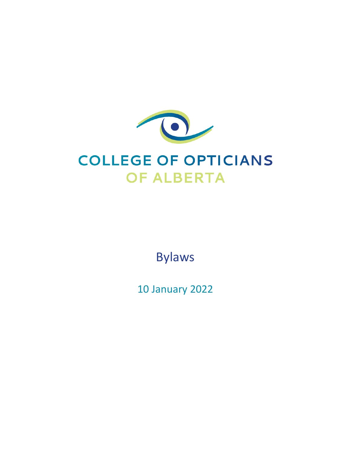

Bylaws

10 January 2022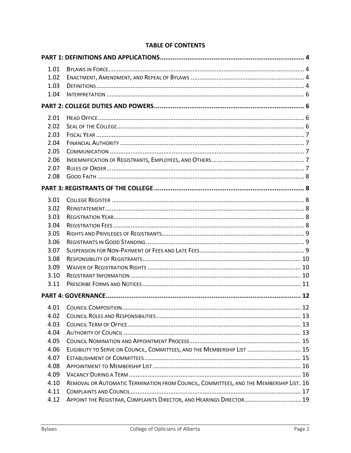| 1.01<br>1.02 |                                                                                        |    |  |
|--------------|----------------------------------------------------------------------------------------|----|--|
| 1.03         |                                                                                        |    |  |
| 1.04         |                                                                                        |    |  |
|              |                                                                                        |    |  |
| 2.01         |                                                                                        |    |  |
| 2.02         |                                                                                        |    |  |
| 2.03         |                                                                                        |    |  |
| 2.04         |                                                                                        |    |  |
| 2.05         |                                                                                        |    |  |
| 2.06         |                                                                                        |    |  |
| 2.07         |                                                                                        |    |  |
| 2.08         |                                                                                        |    |  |
|              |                                                                                        |    |  |
| 3.01         |                                                                                        |    |  |
| 3.02         |                                                                                        |    |  |
| 3.03         |                                                                                        |    |  |
| 3.04         |                                                                                        |    |  |
| 3.05         |                                                                                        |    |  |
| 3.06         |                                                                                        |    |  |
| 3.07         |                                                                                        |    |  |
| 3.08         |                                                                                        |    |  |
| 3.09         |                                                                                        |    |  |
| 3.10         |                                                                                        |    |  |
| 3.11         |                                                                                        |    |  |
|              |                                                                                        |    |  |
| 4.01         |                                                                                        | 12 |  |
| 4.02         |                                                                                        |    |  |
| 4.03         |                                                                                        |    |  |
| 4.04         |                                                                                        |    |  |
| 4.05         |                                                                                        |    |  |
| 4.06         | ELIGIBILITY TO SERVE ON COUNCIL, COMMITTEES, AND THE MEMBERSHIP LIST  15               |    |  |
| 4.07         |                                                                                        |    |  |
| 4.08         |                                                                                        |    |  |
| 4.09         |                                                                                        |    |  |
| 4.10         | REMOVAL OR AUTOMATIC TERMINATION FROM COUNCIL, COMMITTEES, AND THE MEMBERSHIP LIST. 16 |    |  |
| 4.11         |                                                                                        |    |  |
| 4.12         | APPOINT THE REGISTRAR, COMPLAINTS DIRECTOR, AND HEARINGS DIRECTOR 19                   |    |  |

# **TABLE OF CONTENTS**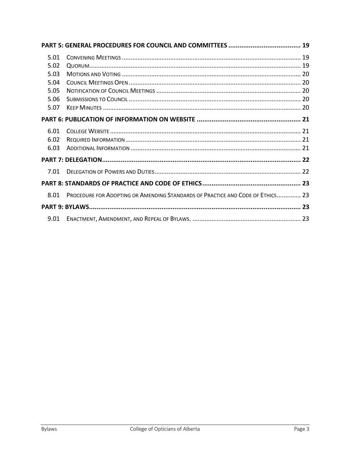| 5.01 |                                                                                |  |  |
|------|--------------------------------------------------------------------------------|--|--|
| 5.02 |                                                                                |  |  |
| 5.03 |                                                                                |  |  |
| 5.04 |                                                                                |  |  |
| 5.05 |                                                                                |  |  |
| 5.06 |                                                                                |  |  |
| 5.07 |                                                                                |  |  |
|      |                                                                                |  |  |
| 6.01 |                                                                                |  |  |
| 6.02 |                                                                                |  |  |
| 6.03 |                                                                                |  |  |
|      |                                                                                |  |  |
| 7.01 |                                                                                |  |  |
|      |                                                                                |  |  |
| 8.01 | PROCEDURE FOR ADOPTING OR AMENDING STANDARDS OF PRACTICE AND CODE OF ETHICS 23 |  |  |
|      |                                                                                |  |  |
| 9.01 |                                                                                |  |  |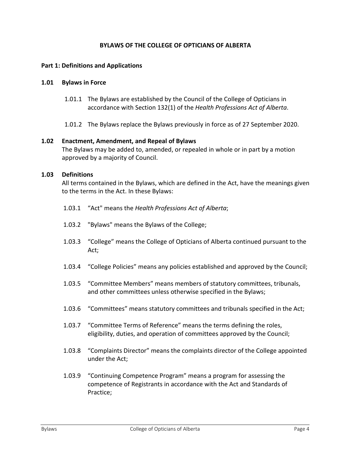# **BYLAWS OF THE COLLEGE OF OPTICIANS OF ALBERTA**

#### <span id="page-3-0"></span>**Part 1: Definitions and Applications**

#### <span id="page-3-1"></span>**1.01 Bylaws in Force**

- 1.01.1 The Bylaws are established by the Council of the College of Opticians in accordance with Section 132(1) of the *Health Professions Act of Alberta*.
- 1.01.2 The Bylaws replace the Bylaws previously in force as of 27 September 2020.

#### <span id="page-3-2"></span>**1.02 Enactment, Amendment, and Repeal of Bylaws**

The Bylaws may be added to, amended, or repealed in whole or in part by a motion approved by a majority of Council.

#### <span id="page-3-3"></span>**1.03 Definitions**

All terms contained in the Bylaws, which are defined in the Act, have the meanings given to the terms in the Act. In these Bylaws:

- 1.03.1 "Act" means the *Health Professions Act of Alberta*;
- 1.03.2 "Bylaws" means the Bylaws of the College;
- 1.03.3 "College" means the College of Opticians of Alberta continued pursuant to the Act;
- 1.03.4 "College Policies" means any policies established and approved by the Council;
- 1.03.5 "Committee Members" means members of statutory committees, tribunals, and other committees unless otherwise specified in the Bylaws;
- 1.03.6 "Committees" means statutory committees and tribunals specified in the Act;
- 1.03.7 "Committee Terms of Reference" means the terms defining the roles, eligibility, duties, and operation of committees approved by the Council;
- 1.03.8 "Complaints Director" means the complaints director of the College appointed under the Act;
- 1.03.9 "Continuing Competence Program" means a program for assessing the competence of Registrants in accordance with the Act and Standards of Practice;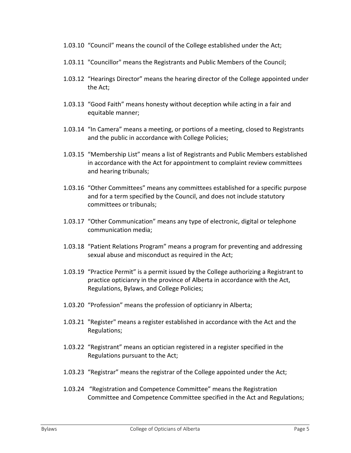- 1.03.10 "Council" means the council of the College established under the Act;
- 1.03.11 "Councillor" means the Registrants and Public Members of the Council;
- 1.03.12 "Hearings Director" means the hearing director of the College appointed under the Act;
- 1.03.13 "Good Faith" means honesty without deception while acting in a fair and equitable manner;
- 1.03.14 "In Camera" means a meeting, or portions of a meeting, closed to Registrants and the public in accordance with College Policies;
- 1.03.15 "Membership List" means a list of Registrants and Public Members established in accordance with the Act for appointment to complaint review committees and hearing tribunals;
- 1.03.16 "Other Committees" means any committees established for a specific purpose and for a term specified by the Council, and does not include statutory committees or tribunals;
- 1.03.17 "Other Communication" means any type of electronic, digital or telephone communication media;
- 1.03.18 "Patient Relations Program" means a program for preventing and addressing sexual abuse and misconduct as required in the Act;
- 1.03.19 "Practice Permit" is a permit issued by the College authorizing a Registrant to practice opticianry in the province of Alberta in accordance with the Act, Regulations, Bylaws, and College Policies;
- 1.03.20 "Profession" means the profession of opticianry in Alberta;
- 1.03.21 "Register" means a register established in accordance with the Act and the Regulations;
- 1.03.22 "Registrant" means an optician registered in a register specified in the Regulations pursuant to the Act;
- 1.03.23 "Registrar" means the registrar of the College appointed under the Act;
- 1.03.24 "Registration and Competence Committee" means the Registration Committee and Competence Committee specified in the Act and Regulations;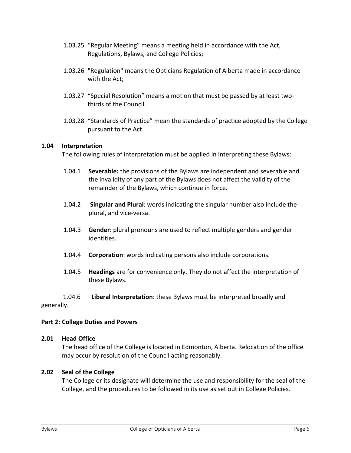- 1.03.25 "Regular Meeting" means a meeting held in accordance with the Act, Regulations, Bylaws, and College Policies;
- 1.03.26 "Regulation" means the Opticians Regulation of Alberta made in accordance with the Act;
- 1.03.27 "Special Resolution" means a motion that must be passed by at least twothirds of the Council.
- 1.03.28 "Standards of Practice" mean the standards of practice adopted by the College pursuant to the Act.

# <span id="page-5-0"></span>**1.04 Interpretation**

The following rules of interpretation must be applied in interpreting these Bylaws:

- 1.04.1 **Severable:** the provisions of the Bylaws are independent and severable and the invalidity of any part of the Bylaws does not affect the validity of the remainder of the Bylaws, which continue in force.
- 1.04.2 **Singular and Plural**: words indicating the singular number also include the plural, and vice-versa.
- 1.04.3 **Gender**: plural pronouns are used to reflect multiple genders and gender identities.
- 1.04.4 **Corporation**: words indicating persons also include corporations.
- 1.04.5 **Headings** are for convenience only. They do not affect the interpretation of these Bylaws.

# 1.04.6 **Liberal Interpretation**: these Bylaws must be interpreted broadly and generally.

# <span id="page-5-1"></span>**Part 2: College Duties and Powers**

# <span id="page-5-2"></span>**2.01 Head Office**

The head office of the College is located in Edmonton, Alberta. Relocation of the office may occur by resolution of the Council acting reasonably.

# <span id="page-5-3"></span>**2.02 Seal of the College**

The College or its designate will determine the use and responsibility for the seal of the College, and the procedures to be followed in its use as set out in College Policies.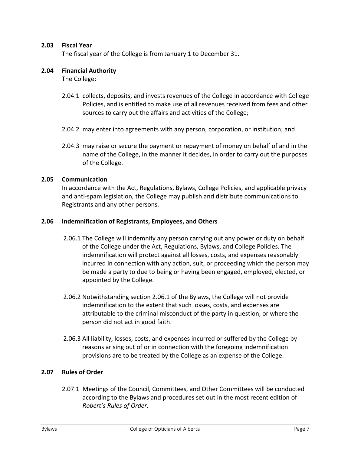# <span id="page-6-0"></span>**2.03 Fiscal Year**

The fiscal year of the College is from January 1 to December 31.

#### <span id="page-6-1"></span>**2.04 Financial Authority**

The College:

- 2.04.1 collects, deposits, and invests revenues of the College in accordance with College Policies, and is entitled to make use of all revenues received from fees and other sources to carry out the affairs and activities of the College;
- 2.04.2 may enter into agreements with any person, corporation, or institution; and
- 2.04.3 may raise or secure the payment or repayment of money on behalf of and in the name of the College, in the manner it decides, in order to carry out the purposes of the College.

#### <span id="page-6-2"></span>**2.05 Communication**

In accordance with the Act, Regulations, Bylaws, College Policies, and applicable privacy and anti-spam legislation, the College may publish and distribute communications to Registrants and any other persons.

#### <span id="page-6-3"></span>**2.06 Indemnification of Registrants, Employees, and Others**

- 2.06.1 The College will indemnify any person carrying out any power or duty on behalf of the College under the Act, Regulations, Bylaws, and College Policies. The indemnification will protect against all losses, costs, and expenses reasonably incurred in connection with any action, suit, or proceeding which the person may be made a party to due to being or having been engaged, employed, elected, or appointed by the College.
- 2.06.2 Notwithstanding section 2.06.1 of the Bylaws, the College will not provide indemnification to the extent that such losses, costs, and expenses are attributable to the criminal misconduct of the party in question, or where the person did not act in good faith.
- 2.06.3 All liability, losses, costs, and expenses incurred or suffered by the College by reasons arising out of or in connection with the foregoing indemnification provisions are to be treated by the College as an expense of the College.

# <span id="page-6-4"></span>**2.07 Rules of Order**

2.07.1 Meetings of the Council, Committees, and Other Committees will be conducted according to the Bylaws and procedures set out in the most recent edition of *Robert's Rules of Order*.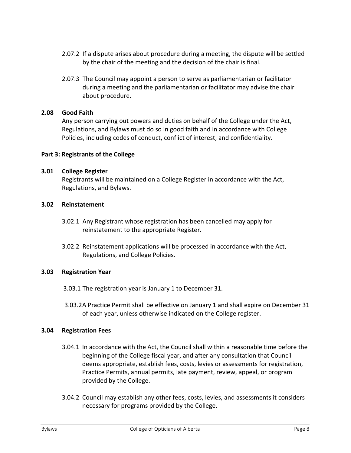- 2.07.2 If a dispute arises about procedure during a meeting, the dispute will be settled by the chair of the meeting and the decision of the chair is final.
- 2.07.3 The Council may appoint a person to serve as parliamentarian or facilitator during a meeting and the parliamentarian or facilitator may advise the chair about procedure.

# <span id="page-7-0"></span>**2.08 Good Faith**

Any person carrying out powers and duties on behalf of the College under the Act, Regulations, and Bylaws must do so in good faith and in accordance with College Policies, including codes of conduct, conflict of interest, and confidentiality.

#### <span id="page-7-1"></span>**Part 3: Registrants of the College**

#### <span id="page-7-2"></span>**3.01 College Register**

Registrants will be maintained on a College Register in accordance with the Act, Regulations, and Bylaws.

#### <span id="page-7-3"></span>**3.02 Reinstatement**

- 3.02.1 Any Registrant whose registration has been cancelled may apply for reinstatement to the appropriate Register.
- 3.02.2 Reinstatement applications will be processed in accordance with the Act, Regulations, and College Policies.

#### <span id="page-7-4"></span>**3.03 Registration Year**

- 3.03.1 The registration year is January 1 to December 31.
- 3.03.2A Practice Permit shall be effective on January 1 and shall expire on December 31 of each year, unless otherwise indicated on the College register.

#### <span id="page-7-5"></span>**3.04 Registration Fees**

- 3.04.1 In accordance with the Act, the Council shall within a reasonable time before the beginning of the College fiscal year, and after any consultation that Council deems appropriate, establish fees, costs, levies or assessments for registration, Practice Permits, annual permits, late payment, review, appeal, or program provided by the College.
- 3.04.2 Council may establish any other fees, costs, levies, and assessments it considers necessary for programs provided by the College.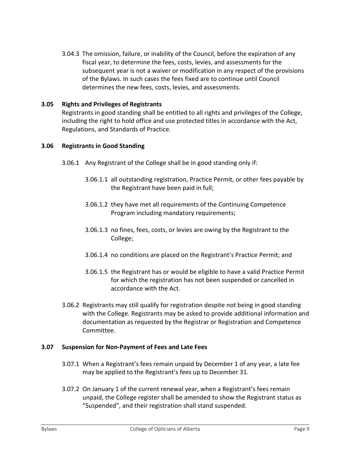3.04.3 The omission, failure, or inability of the Council, before the expiration of any fiscal year, to determine the fees, costs, levies, and assessments for the subsequent year is not a waiver or modification in any respect of the provisions of the Bylaws. In such cases the fees fixed are to continue until Council determines the new fees, costs, levies, and assessments.

# <span id="page-8-0"></span>**3.05 Rights and Privileges of Registrants**

Registrants in good standing shall be entitled to all rights and privileges of the College, including the right to hold office and use protected titles in accordance with the Act, Regulations, and Standards of Practice.

# <span id="page-8-1"></span>**3.06 Registrants in Good Standing**

- 3.06.1 Any Registrant of the College shall be in good standing only if:
	- 3.06.1.1 all outstanding registration, Practice Permit, or other fees payable by the Registrant have been paid in full;
	- 3.06.1.2 they have met all requirements of the Continuing Competence Program including mandatory requirements;
	- 3.06.1.3 no fines, fees, costs, or levies are owing by the Registrant to the College;
	- 3.06.1.4 no conditions are placed on the Registrant's Practice Permit; and
	- 3.06.1.5 the Registrant has or would be eligible to have a valid Practice Permit for which the registration has not been suspended or cancelled in accordance with the Act.
- 3.06.2 Registrants may still qualify for registration despite not being in good standing with the College. Registrants may be asked to provide additional information and documentation as requested by the Registrar or Registration and Competence Committee.

# <span id="page-8-2"></span>**3.07 Suspension for Non-Payment of Fees and Late Fees**

- 3.07.1 When a Registrant's fees remain unpaid by December 1 of any year, a late fee may be applied to the Registrant's fees up to December 31.
- 3.07.2 On January 1 of the current renewal year, when a Registrant's fees remain unpaid, the College register shall be amended to show the Registrant status as "Suspended", and their registration shall stand suspended.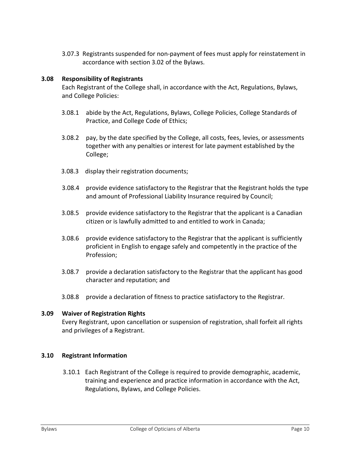3.07.3 Registrants suspended for non-payment of fees must apply for reinstatement in accordance with section 3.02 of the Bylaws.

# <span id="page-9-0"></span>**3.08 Responsibility of Registrants**

Each Registrant of the College shall, in accordance with the Act, Regulations, Bylaws, and College Policies:

- 3.08.1 abide by the Act, Regulations, Bylaws, College Policies, College Standards of Practice, and College Code of Ethics;
- 3.08.2 pay, by the date specified by the College, all costs, fees, levies, or assessments together with any penalties or interest for late payment established by the College;
- 3.08.3 display their registration documents;
- 3.08.4 provide evidence satisfactory to the Registrar that the Registrant holds the type and amount of Professional Liability Insurance required by Council;
- 3.08.5 provide evidence satisfactory to the Registrar that the applicant is a Canadian citizen or is lawfully admitted to and entitled to work in Canada;
- 3.08.6 provide evidence satisfactory to the Registrar that the applicant is sufficiently proficient in English to engage safely and competently in the practice of the Profession;
- 3.08.7 provide a declaration satisfactory to the Registrar that the applicant has good character and reputation; and
- 3.08.8 provide a declaration of fitness to practice satisfactory to the Registrar.

# <span id="page-9-1"></span>**3.09 Waiver of Registration Rights**

Every Registrant, upon cancellation or suspension of registration, shall forfeit all rights and privileges of a Registrant.

# <span id="page-9-2"></span>**3.10 Registrant Information**

3.10.1 Each Registrant of the College is required to provide demographic, academic, training and experience and practice information in accordance with the Act, Regulations, Bylaws, and College Policies.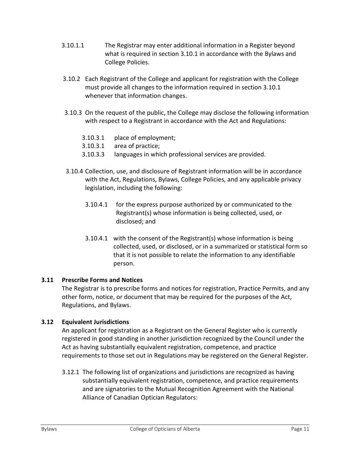- 3.10.1.1 The Registrar may enter additional information in a Register beyond what is required in section 3.10.1 in accordance with the Bylaws and College Policies.
- 3.10.2 Each Registrant of the College and applicant for registration with the College must provide all changes to the information required in section 3.10.1 whenever that information changes.
- 3.10.3 On the request of the public, the College may disclose the following information with respect to a Registrant in accordance with the Act and Regulations:
	- 3.10.3.1 place of employment;
	- 3.10.3.1 area of practice;
	- 3.10.3.3 languages in which professional services are provided.
- 3.10.4 Collection, use, and disclosure of Registrant information will be in accordance with the Act, Regulations, Bylaws, College Policies, and any applicable privacy legislation, including the following:
	- 3.10.4.1 for the express purpose authorized by or communicated to the Registrant(s) whose information is being collected, used, or disclosed; and
	- 3.10.4.1 with the consent of the Registrant(s) whose information is being collected, used, or disclosed, or in a summarized or statistical form so that it is not possible to relate the information to any identifiable person.

# <span id="page-10-0"></span>**3.11 Prescribe Forms and Notices**

The Registrar is to prescribe forms and notices for registration, Practice Permits, and any other form, notice, or document that may be required for the purposes of the Act, Regulations, and Bylaws.

# **3.12 Equivalent Jurisdictions**

An applicant for registration as a Registrant on the General Register who is currently registered in good standing in another jurisdiction recognized by the Council under the Act as having substantially equivalent registration, competence, and practice requirements to those set out in Regulations may be registered on the General Register.

3.12.1 The following list of organizations and jurisdictions are recognized as having substantially equivalent registration, competence, and practice requirements and are signatories to the Mutual Recognition Agreement with the National Alliance of Canadian Optician Regulators: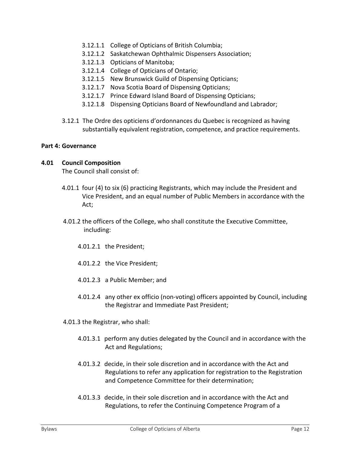- 3.12.1.1 College of Opticians of British Columbia;
- 3.12.1.2 Saskatchewan Ophthalmic Dispensers Association;
- 3.12.1.3 Opticians of Manitoba;
- 3.12.1.4 College of Opticians of Ontario;
- 3.12.1.5 New Brunswick Guild of Dispensing Opticians;
- 3.12.1.7 Nova Scotia Board of Dispensing Opticians;
- 3.12.1.7 Prince Edward Island Board of Dispensing Opticians;
- 3.12.1.8 Dispensing Opticians Board of Newfoundland and Labrador;
- 3.12.1 The Ordre des opticiens d'ordonnances du Quebec is recognized as having substantially equivalent registration, competence, and practice requirements.

#### <span id="page-11-0"></span>**Part 4: Governance**

#### <span id="page-11-1"></span>**4.01 Council Composition**

The Council shall consist of:

- 4.01.1 four (4) to six (6) practicing Registrants, which may include the President and Vice President, and an equal number of Public Members in accordance with the Act;
- 4.01.2 the officers of the College, who shall constitute the Executive Committee, including:
	- 4.01.2.1 the President;
	- 4.01.2.2 the Vice President;
	- 4.01.2.3 a Public Member; and
	- 4.01.2.4 any other ex officio (non-voting) officers appointed by Council, including the Registrar and Immediate Past President;
- 4.01.3 the Registrar, who shall:
	- 4.01.3.1 perform any duties delegated by the Council and in accordance with the Act and Regulations;
	- 4.01.3.2 decide, in their sole discretion and in accordance with the Act and Regulations to refer any application for registration to the Registration and Competence Committee for their determination;
	- 4.01.3.3 decide, in their sole discretion and in accordance with the Act and Regulations, to refer the Continuing Competence Program of a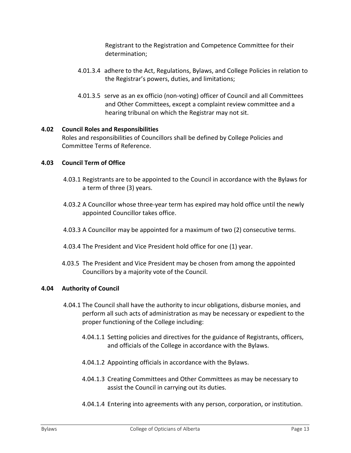Registrant to the Registration and Competence Committee for their determination;

- 4.01.3.4 adhere to the Act, Regulations, Bylaws, and College Policies in relation to the Registrar's powers, duties, and limitations;
- 4.01.3.5 serve as an ex officio (non-voting) officer of Council and all Committees and Other Committees, except a complaint review committee and a hearing tribunal on which the Registrar may not sit.

# <span id="page-12-0"></span>**4.02 Council Roles and Responsibilities**

Roles and responsibilities of Councillors shall be defined by College Policies and Committee Terms of Reference.

# <span id="page-12-1"></span>**4.03 Council Term of Office**

- 4.03.1 Registrants are to be appointed to the Council in accordance with the Bylaws for a term of three (3) years.
- 4.03.2 A Councillor whose three-year term has expired may hold office until the newly appointed Councillor takes office.
- 4.03.3 A Councillor may be appointed for a maximum of two (2) consecutive terms.
- 4.03.4 The President and Vice President hold office for one (1) year.
- 4.03.5 The President and Vice President may be chosen from among the appointed Councillors by a majority vote of the Council.

# <span id="page-12-2"></span>**4.04 Authority of Council**

- 4.04.1 The Council shall have the authority to incur obligations, disburse monies, and perform all such acts of administration as may be necessary or expedient to the proper functioning of the College including:
	- 4.04.1.1 Setting policies and directives for the guidance of Registrants, officers, and officials of the College in accordance with the Bylaws.
	- 4.04.1.2 Appointing officials in accordance with the Bylaws.
	- 4.04.1.3 Creating Committees and Other Committees as may be necessary to assist the Council in carrying out its duties.
	- 4.04.1.4 Entering into agreements with any person, corporation, or institution.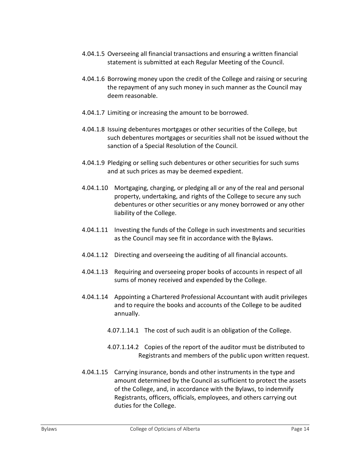- 4.04.1.5 Overseeing all financial transactions and ensuring a written financial statement is submitted at each Regular Meeting of the Council.
- 4.04.1.6 Borrowing money upon the credit of the College and raising or securing the repayment of any such money in such manner as the Council may deem reasonable.
- 4.04.1.7 Limiting or increasing the amount to be borrowed.
- 4.04.1.8 Issuing debentures mortgages or other securities of the College, but such debentures mortgages or securities shall not be issued without the sanction of a Special Resolution of the Council.
- 4.04.1.9 Pledging or selling such debentures or other securities for such sums and at such prices as may be deemed expedient.
- 4.04.1.10 Mortgaging, charging, or pledging all or any of the real and personal property, undertaking, and rights of the College to secure any such debentures or other securities or any money borrowed or any other liability of the College.
- 4.04.1.11 Investing the funds of the College in such investments and securities as the Council may see fit in accordance with the Bylaws.
- 4.04.1.12 Directing and overseeing the auditing of all financial accounts.
- 4.04.1.13 Requiring and overseeing proper books of accounts in respect of all sums of money received and expended by the College.
- 4.04.1.14 Appointing a Chartered Professional Accountant with audit privileges and to require the books and accounts of the College to be audited annually.
	- 4.07.1.14.1 The cost of such audit is an obligation of the College.
	- 4.07.1.14.2 Copies of the report of the auditor must be distributed to Registrants and members of the public upon written request.
- 4.04.1.15 Carrying insurance, bonds and other instruments in the type and amount determined by the Council as sufficient to protect the assets of the College, and, in accordance with the Bylaws, to indemnify Registrants, officers, officials, employees, and others carrying out duties for the College.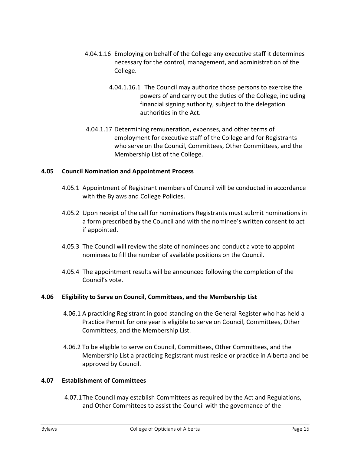- 4.04.1.16 Employing on behalf of the College any executive staff it determines necessary for the control, management, and administration of the College.
	- 4.04.1.16.1 The Council may authorize those persons to exercise the powers of and carry out the duties of the College, including financial signing authority, subject to the delegation authorities in the Act.
- 4.04.1.17 Determining remuneration, expenses, and other terms of employment for executive staff of the College and for Registrants who serve on the Council, Committees, Other Committees, and the Membership List of the College.

# <span id="page-14-0"></span>**4.05 Council Nomination and Appointment Process**

- 4.05.1 Appointment of Registrant members of Council will be conducted in accordance with the Bylaws and College Policies.
- 4.05.2 Upon receipt of the call for nominations Registrants must submit nominations in a form prescribed by the Council and with the nominee's written consent to act if appointed.
- 4.05.3 The Council will review the slate of nominees and conduct a vote to appoint nominees to fill the number of available positions on the Council.
- 4.05.4 The appointment results will be announced following the completion of the Council's vote.

# <span id="page-14-1"></span>**4.06 Eligibility to Serve on Council, Committees, and the Membership List**

- 4.06.1 A practicing Registrant in good standing on the General Register who has held a Practice Permit for one year is eligible to serve on Council, Committees, Other Committees, and the Membership List.
- 4.06.2 To be eligible to serve on Council, Committees, Other Committees, and the Membership List a practicing Registrant must reside or practice in Alberta and be approved by Council.

#### <span id="page-14-2"></span>**4.07 Establishment of Committees**

4.07.1The Council may establish Committees as required by the Act and Regulations, and Other Committees to assist the Council with the governance of the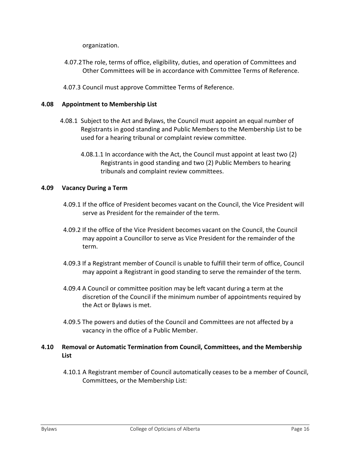organization.

- 4.07.2The role, terms of office, eligibility, duties, and operation of Committees and Other Committees will be in accordance with Committee Terms of Reference.
- 4.07.3 Council must approve Committee Terms of Reference.

#### <span id="page-15-0"></span>**4.08 Appointment to Membership List**

- 4.08.1 Subject to the Act and Bylaws, the Council must appoint an equal number of Registrants in good standing and Public Members to the Membership List to be used for a hearing tribunal or complaint review committee.
	- 4.08.1.1 In accordance with the Act, the Council must appoint at least two (2) Registrants in good standing and two (2) Public Members to hearing tribunals and complaint review committees.

#### <span id="page-15-1"></span>**4.09 Vacancy During a Term**

- 4.09.1 If the office of President becomes vacant on the Council, the Vice President will serve as President for the remainder of the term.
- 4.09.2 If the office of the Vice President becomes vacant on the Council, the Council may appoint a Councillor to serve as Vice President for the remainder of the term.
- 4.09.3 If a Registrant member of Council is unable to fulfill their term of office, Council may appoint a Registrant in good standing to serve the remainder of the term.
- 4.09.4 A Council or committee position may be left vacant during a term at the discretion of the Council if the minimum number of appointments required by the Act or Bylaws is met.
- 4.09.5 The powers and duties of the Council and Committees are not affected by a vacancy in the office of a Public Member.

# <span id="page-15-2"></span>**4.10 Removal or Automatic Termination from Council, Committees, and the Membership List**

4.10.1 A Registrant member of Council automatically ceases to be a member of Council, Committees, or the Membership List: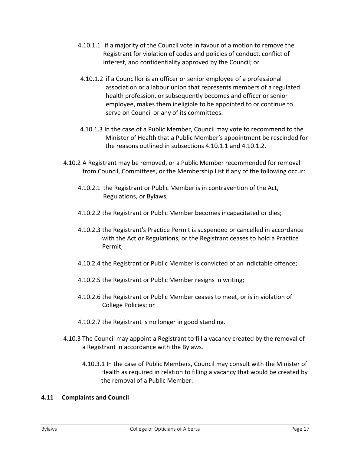- 4.10.1.1 if a majority of the Council vote in favour of a motion to remove the Registrant for violation of codes and policies of conduct, conflict of interest, and confidentiality approved by the Council; or
- 4.10.1.2 if a Councillor is an officer or senior employee of a professional association or a labour union that represents members of a regulated health profession, or subsequently becomes and officer or senior employee, makes them ineligible to be appointed to or continue to serve on Council or any of its committees.
- 4.10.1.3 In the case of a Public Member, Council may vote to recommend to the Minister of Health that a Public Member's appointment be rescinded for the reasons outlined in subsections 4.10.1.1 and 4.10.1.2.
- 4.10.2 A Registrant may be removed, or a Public Member recommended for removal from Council, Committees, or the Membership List if any of the following occur:
	- 4.10.2.1 the Registrant or Public Member is in contravention of the Act, Regulations, or Bylaws;
	- 4.10.2.2 the Registrant or Public Member becomes incapacitated or dies;
	- 4.10.2.3 the Registrant's Practice Permit is suspended or cancelled in accordance with the Act or Regulations, or the Registrant ceases to hold a Practice Permit;
	- 4.10.2.4 the Registrant or Public Member is convicted of an indictable offence;
	- 4.10.2.5 the Registrant or Public Member resigns in writing;
	- 4.10.2.6 the Registrant or Public Member ceases to meet, or is in violation of College Policies; or
	- 4.10.2.7 the Registrant is no longer in good standing.
- 4.10.3 The Council may appoint a Registrant to fill a vacancy created by the removal of a Registrant in accordance with the Bylaws.
	- 4.10.3.1 In the case of Public Members, Council may consult with the Minister of Health as required in relation to filling a vacancy that would be created by the removal of a Public Member.

# <span id="page-16-0"></span>**4.11 Complaints and Council**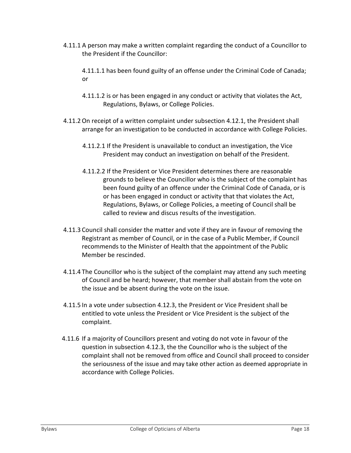4.11.1 A person may make a written complaint regarding the conduct of a Councillor to the President if the Councillor:

4.11.1.1 has been found guilty of an offense under the Criminal Code of Canada; or

- 4.11.1.2 is or has been engaged in any conduct or activity that violates the Act, Regulations, Bylaws, or College Policies.
- 4.11.2On receipt of a written complaint under subsection 4.12.1, the President shall arrange for an investigation to be conducted in accordance with College Policies.
	- 4.11.2.1 If the President is unavailable to conduct an investigation, the Vice President may conduct an investigation on behalf of the President.
	- 4.11.2.2 If the President or Vice President determines there are reasonable grounds to believe the Councillor who is the subject of the complaint has been found guilty of an offence under the Criminal Code of Canada, or is or has been engaged in conduct or activity that that violates the Act, Regulations, Bylaws, or College Policies, a meeting of Council shall be called to review and discus results of the investigation.
- 4.11.3 Council shall consider the matter and vote if they are in favour of removing the Registrant as member of Council, or in the case of a Public Member, if Council recommends to the Minister of Health that the appointment of the Public Member be rescinded.
- 4.11.4 The Councillor who is the subject of the complaint may attend any such meeting of Council and be heard; however, that member shall abstain from the vote on the issue and be absent during the vote on the issue.
- 4.11.5 In a vote under subsection 4.12.3, the President or Vice President shall be entitled to vote unless the President or Vice President is the subject of the complaint.
- 4.11.6 If a majority of Councillors present and voting do not vote in favour of the question in subsection 4.12.3, the the Councillor who is the subject of the complaint shall not be removed from office and Council shall proceed to consider the seriousness of the issue and may take other action as deemed appropriate in accordance with College Policies.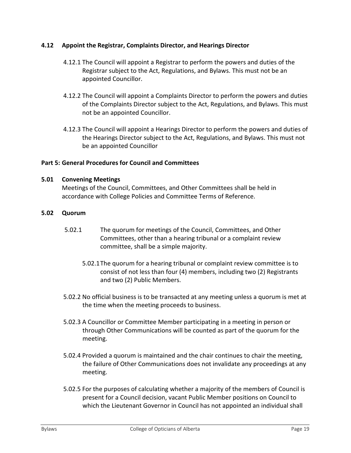# <span id="page-18-0"></span>**4.12 Appoint the Registrar, Complaints Director, and Hearings Director**

- 4.12.1 The Council will appoint a Registrar to perform the powers and duties of the Registrar subject to the Act, Regulations, and Bylaws. This must not be an appointed Councillor.
- 4.12.2 The Council will appoint a Complaints Director to perform the powers and duties of the Complaints Director subject to the Act, Regulations, and Bylaws. This must not be an appointed Councillor.
- 4.12.3 The Council will appoint a Hearings Director to perform the powers and duties of the Hearings Director subject to the Act, Regulations, and Bylaws. This must not be an appointed Councillor

# <span id="page-18-1"></span>**Part 5: General Procedures for Council and Committees**

# <span id="page-18-2"></span>**5.01 Convening Meetings**

Meetings of the Council, Committees, and Other Committees shall be held in accordance with College Policies and Committee Terms of Reference.

#### <span id="page-18-3"></span>**5.02 Quorum**

- 5.02.1 The quorum for meetings of the Council, Committees, and Other Committees, other than a hearing tribunal or a complaint review committee, shall be a simple majority.
	- 5.02.1The quorum for a hearing tribunal or complaint review committee is to consist of not less than four (4) members, including two (2) Registrants and two (2) Public Members.
- 5.02.2 No official business is to be transacted at any meeting unless a quorum is met at the time when the meeting proceeds to business.
- 5.02.3 A Councillor or Committee Member participating in a meeting in person or through Other Communications will be counted as part of the quorum for the meeting.
- 5.02.4 Provided a quorum is maintained and the chair continues to chair the meeting, the failure of Other Communications does not invalidate any proceedings at any meeting.
- 5.02.5 For the purposes of calculating whether a majority of the members of Council is present for a Council decision, vacant Public Member positions on Council to which the Lieutenant Governor in Council has not appointed an individual shall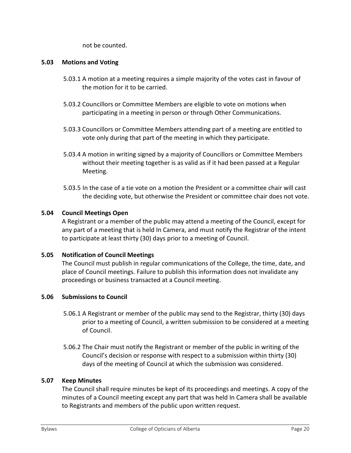not be counted.

#### <span id="page-19-0"></span>**5.03 Motions and Voting**

- 5.03.1 A motion at a meeting requires a simple majority of the votes cast in favour of the motion for it to be carried.
- 5.03.2 Councillors or Committee Members are eligible to vote on motions when participating in a meeting in person or through Other Communications.
- 5.03.3 Councillors or Committee Members attending part of a meeting are entitled to vote only during that part of the meeting in which they participate.
- 5.03.4 A motion in writing signed by a majority of Councillors or Committee Members without their meeting together is as valid as if it had been passed at a Regular Meeting.
- 5.03.5 In the case of a tie vote on a motion the President or a committee chair will cast the deciding vote, but otherwise the President or committee chair does not vote.

# <span id="page-19-1"></span>**5.04 Council Meetings Open**

A Registrant or a member of the public may attend a meeting of the Council, except for any part of a meeting that is held In Camera, and must notify the Registrar of the intent to participate at least thirty (30) days prior to a meeting of Council.

# <span id="page-19-2"></span>**5.05 Notification of Council Meetings**

The Council must publish in regular communications of the College, the time, date, and place of Council meetings. Failure to publish this information does not invalidate any proceedings or business transacted at a Council meeting.

# <span id="page-19-3"></span>**5.06 Submissions to Council**

- 5.06.1 A Registrant or member of the public may send to the Registrar, thirty (30) days prior to a meeting of Council, a written submission to be considered at a meeting of Council.
- 5.06.2 The Chair must notify the Registrant or member of the public in writing of the Council's decision or response with respect to a submission within thirty (30) days of the meeting of Council at which the submission was considered.

# <span id="page-19-4"></span>**5.07 Keep Minutes**

The Council shall require minutes be kept of its proceedings and meetings. A copy of the minutes of a Council meeting except any part that was held In Camera shall be available to Registrants and members of the public upon written request.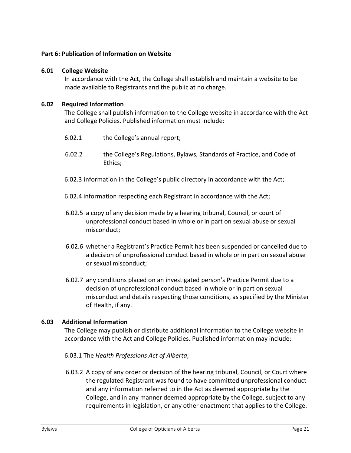# <span id="page-20-0"></span>**Part 6: Publication of Information on Website**

# <span id="page-20-1"></span>**6.01 College Website**

In accordance with the Act, the College shall establish and maintain a website to be made available to Registrants and the public at no charge.

#### <span id="page-20-2"></span>**6.02 Required Information**

The College shall publish information to the College website in accordance with the Act and College Policies. Published information must include:

- 6.02.1 the College's annual report;
- 6.02.2 the College's Regulations, Bylaws, Standards of Practice, and Code of Ethics;
- 6.02.3 information in the College's public directory in accordance with the Act;
- 6.02.4 information respecting each Registrant in accordance with the Act;
- 6.02.5 a copy of any decision made by a hearing tribunal, Council, or court of unprofessional conduct based in whole or in part on sexual abuse or sexual misconduct;
- 6.02.6 whether a Registrant's Practice Permit has been suspended or cancelled due to a decision of unprofessional conduct based in whole or in part on sexual abuse or sexual misconduct;
- 6.02.7 any conditions placed on an investigated person's Practice Permit due to a decision of unprofessional conduct based in whole or in part on sexual misconduct and details respecting those conditions, as specified by the Minister of Health, if any.

# <span id="page-20-3"></span>**6.03 Additional Information**

The College may publish or distribute additional information to the College website in accordance with the Act and College Policies. Published information may include:

- 6.03.1 The *Health Professions Act of Alberta*;
- 6.03.2 A copy of any order or decision of the hearing tribunal, Council, or Court where the regulated Registrant was found to have committed unprofessional conduct and any information referred to in the Act as deemed appropriate by the College, and in any manner deemed appropriate by the College, subject to any requirements in legislation, or any other enactment that applies to the College.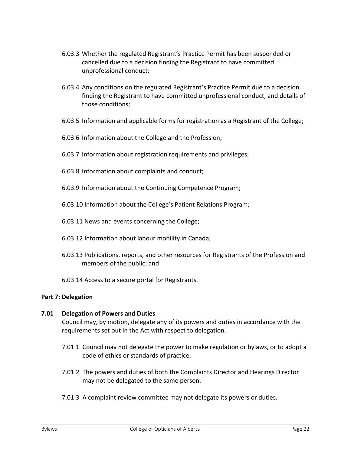- 6.03.3 Whether the regulated Registrant's Practice Permit has been suspended or cancelled due to a decision finding the Registrant to have committed unprofessional conduct;
- 6.03.4 Any conditions on the regulated Registrant's Practice Permit due to a decision finding the Registrant to have committed unprofessional conduct, and details of those conditions;
- 6.03.5 Information and applicable forms for registration as a Registrant of the College;
- 6.03.6 Information about the College and the Profession;
- 6.03.7 Information about registration requirements and privileges;
- 6.03.8 Information about complaints and conduct;
- 6.03.9 Information about the Continuing Competence Program;
- 6.03.10 Information about the College's Patient Relations Program;
- 6.03.11 News and events concerning the College;
- 6.03.12 Information about labour mobility in Canada;
- 6.03.13 Publications, reports, and other resources for Registrants of the Profession and members of the public; and
- 6.03.14 Access to a secure portal for Registrants.

# <span id="page-21-0"></span>**Part 7: Delegation**

# <span id="page-21-1"></span>**7.01 Delegation of Powers and Duties**

Council may, by motion, delegate any of its powers and duties in accordance with the requirements set out in the Act with respect to delegation.

- 7.01.1 Council may not delegate the power to make regulation or bylaws, or to adopt a code of ethics or standards of practice.
- 7.01.2 The powers and duties of both the Complaints Director and Hearings Director may not be delegated to the same person.
- 7.01.3 A complaint review committee may not delegate its powers or duties.